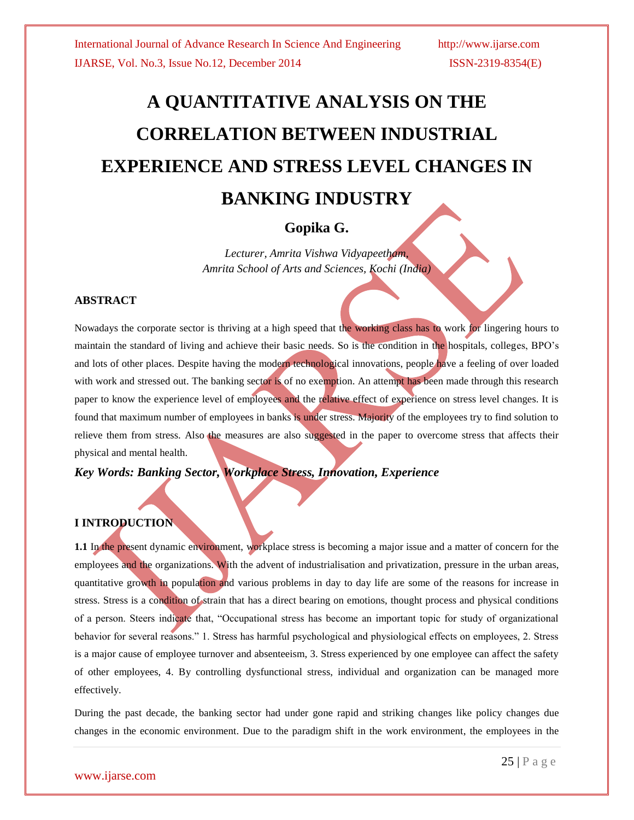# **A QUANTITATIVE ANALYSIS ON THE CORRELATION BETWEEN INDUSTRIAL EXPERIENCE AND STRESS LEVEL CHANGES IN BANKING INDUSTRY**

## **Gopika G.**

*Lecturer, Amrita Vishwa Vidyapeetham, Amrita School of Arts and Sciences, Kochi (India)*

### **ABSTRACT**

Nowadays the corporate sector is thriving at a high speed that the working class has to work for lingering hours to maintain the standard of living and achieve their basic needs. So is the condition in the hospitals, colleges, BPO's and lots of other places. Despite having the modern technological innovations, people have a feeling of over loaded with work and stressed out. The banking sector is of no exemption. An attempt has been made through this research paper to know the experience level of employees and the relative effect of experience on stress level changes. It is found that maximum number of employees in banks is under stress. Majority of the employees try to find solution to relieve them from stress. Also the measures are also suggested in the paper to overcome stress that affects their physical and mental health.

### *Key Words: Banking Sector, Workplace Stress, Innovation, Experience*

### **I INTRODUCTION**

1.1 In the present dynamic environment, workplace stress is becoming a major issue and a matter of concern for the employees and the organizations. With the advent of industrialisation and privatization, pressure in the urban areas, quantitative growth in population and various problems in day to day life are some of the reasons for increase in stress. Stress is a condition of strain that has a direct bearing on emotions, thought process and physical conditions of a person. Steers indicate that, "Occupational stress has become an important topic for study of organizational behavior for several reasons." 1. Stress has harmful psychological and physiological effects on employees, 2. Stress is a major cause of employee turnover and absenteeism, 3. Stress experienced by one employee can affect the safety of other employees, 4. By controlling dysfunctional stress, individual and organization can be managed more effectively.

During the past decade, the banking sector had under gone rapid and striking changes like policy changes due changes in the economic environment. Due to the paradigm shift in the work environment, the employees in the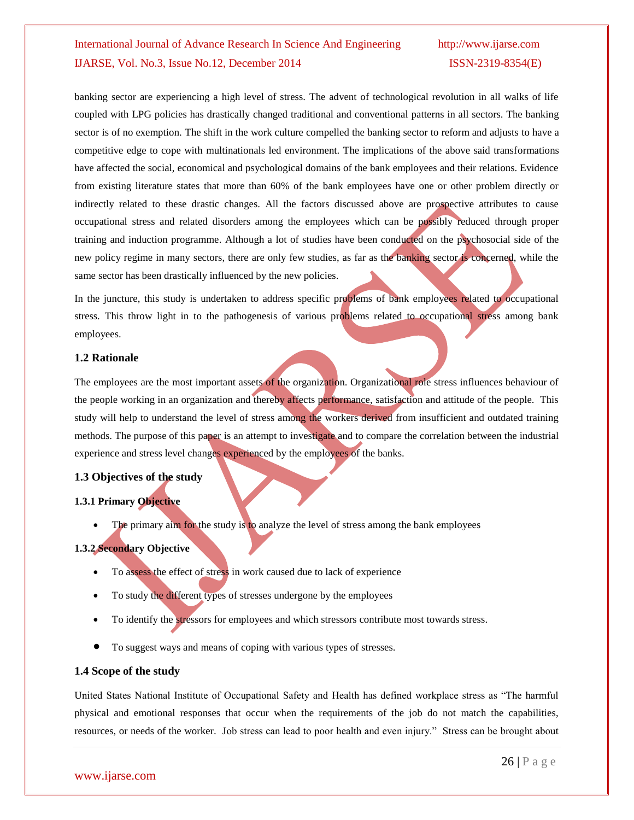banking sector are experiencing a high level of stress. The advent of technological revolution in all walks of life coupled with LPG policies has drastically changed traditional and conventional patterns in all sectors. The banking sector is of no exemption. The shift in the work culture compelled the banking sector to reform and adjusts to have a competitive edge to cope with multinationals led environment. The implications of the above said transformations have affected the social, economical and psychological domains of the bank employees and their relations. Evidence from existing literature states that more than 60% of the bank employees have one or other problem directly or indirectly related to these drastic changes. All the factors discussed above are prospective attributes to cause occupational stress and related disorders among the employees which can be possibly reduced through proper training and induction programme. Although a lot of studies have been conducted on the psychosocial side of the new policy regime in many sectors, there are only few studies, as far as the banking sector is concerned, while the same sector has been drastically influenced by the new policies.

In the juncture, this study is undertaken to address specific problems of bank employees related to occupational stress. This throw light in to the pathogenesis of various problems related to occupational stress among bank employees.

#### **1.2 Rationale**

The employees are the most important assets of the organization. Organizational role stress influences behaviour of the people working in an organization and thereby affects performance, satisfaction and attitude of the people. This study will help to understand the level of stress among the workers derived from insufficient and outdated training methods. The purpose of this paper is an attempt to investigate and to compare the correlation between the industrial experience and stress level changes experienced by the employees of the banks.

#### **1.3 Objectives of the study**

#### **1.3.1 Primary Objective**

The primary aim for the study is to analyze the level of stress among the bank employees

#### **1.3.2 Secondary Objective**

- To assess the effect of stress in work caused due to lack of experience
- To study the different types of stresses undergone by the employees
- To identify the stressors for employees and which stressors contribute most towards stress.
- To suggest ways and means of coping with various types of stresses.

#### **1.4 Scope of the study**

United States National Institute of Occupational Safety and Health has defined workplace stress as "The harmful physical and emotional responses that occur when the requirements of the job do not match the capabilities, resources, or needs of the worker. Job stress can lead to poor health and even injury." Stress can be brought about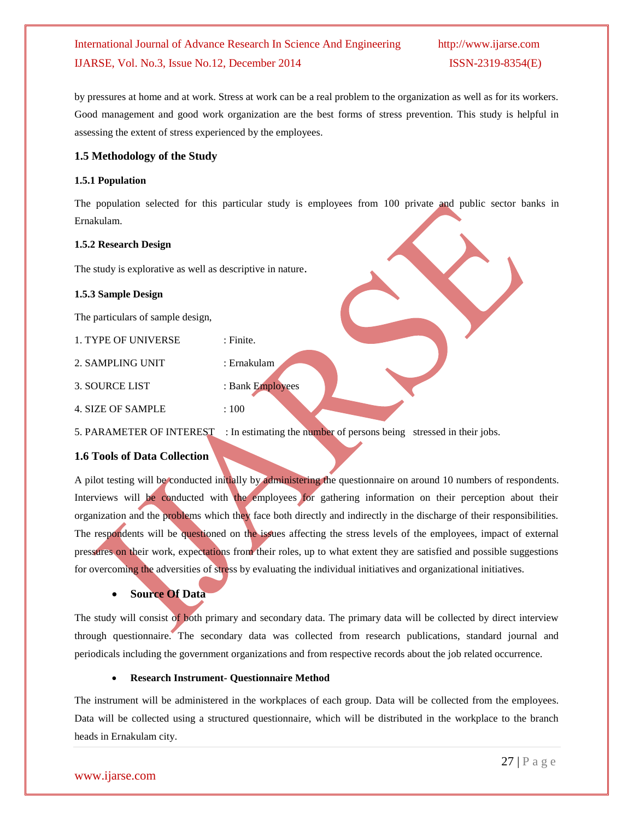by pressures at home and at work. Stress at work can be a real problem to the organization as well as for its workers. Good management and good work organization are the best forms of stress prevention. This study is helpful in assessing the extent of stress experienced by the employees.

#### **1.5 Methodology of the Study**

#### **1.5.1 Population**

The population selected for this particular study is employees from 100 private and public sector banks in Ernakulam.

#### **1.5.2 Research Design**

The study is explorative as well as descriptive in nature.

#### **1.5.3 Sample Design**

The particulars of sample design,

- 1. TYPE OF UNIVERSE : Finite.
- 
- 2. SAMPLING UNIT : Ernakulam
- 3. SOURCE LIST : Bank Employees
- 4. SIZE OF SAMPLE : 100
- 5. PARAMETER OF INTEREST : In estimating the number of persons being stressed in their jobs.

#### **1.6 Tools of Data Collection**

A pilot testing will be conducted initially by administering the questionnaire on around 10 numbers of respondents. Interviews will be conducted with the employees for gathering information on their perception about their organization and the problems which they face both directly and indirectly in the discharge of their responsibilities. The respondents will be questioned on the issues affecting the stress levels of the employees, impact of external pressures on their work, expectations from their roles, up to what extent they are satisfied and possible suggestions for overcoming the adversities of stress by evaluating the individual initiatives and organizational initiatives.

#### **Source Of Data**

The study will consist of both primary and secondary data. The primary data will be collected by direct interview through questionnaire. The secondary data was collected from research publications, standard journal and periodicals including the government organizations and from respective records about the job related occurrence.

#### **Research Instrument- Questionnaire Method**

The instrument will be administered in the workplaces of each group. Data will be collected from the employees. Data will be collected using a structured questionnaire, which will be distributed in the workplace to the branch heads in Ernakulam city.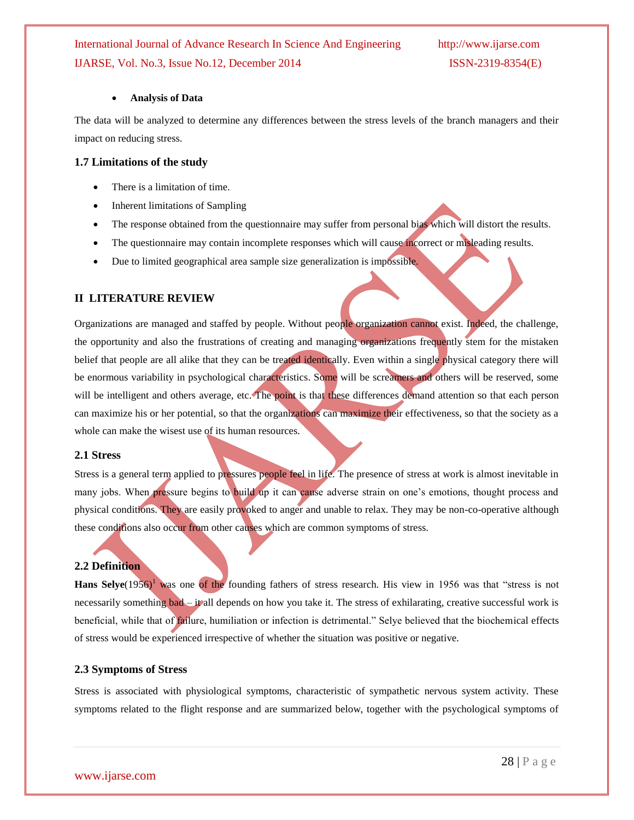#### **Analysis of Data**

The data will be analyzed to determine any differences between the stress levels of the branch managers and their impact on reducing stress.

#### **1.7 Limitations of the study**

- There is a limitation of time.
- Inherent limitations of Sampling
- The response obtained from the questionnaire may suffer from personal bias which will distort the results.
- The questionnaire may contain incomplete responses which will cause incorrect or misleading results.
- Due to limited geographical area sample size generalization is impossible.

#### **II LITERATURE REVIEW**

Organizations are managed and staffed by people. Without people organization cannot exist. Indeed, the challenge, the opportunity and also the frustrations of creating and managing organizations frequently stem for the mistaken belief that people are all alike that they can be treated identically. Even within a single physical category there will be enormous variability in psychological characteristics. Some will be screamers and others will be reserved, some will be intelligent and others average, etc. The point is that these differences demand attention so that each person can maximize his or her potential, so that the organizations can maximize their effectiveness, so that the society as a whole can make the wisest use of its human resources.

#### **2.1 Stress**

Stress is a general term applied to pressures people feel in life. The presence of stress at work is almost inevitable in many jobs. When pressure begins to build up it can cause adverse strain on one's emotions, thought process and physical conditions. They are easily provoked to anger and unable to relax. They may be non-co-operative although these conditions also occur from other causes which are common symptoms of stress.

#### **2.2 Definition**

**Hans Selve**(1956)<sup>1</sup> was one of the founding fathers of stress research. His view in 1956 was that "stress is not necessarily something  $bad - it$  all depends on how you take it. The stress of exhilarating, creative successful work is beneficial, while that of failure, humiliation or infection is detrimental." Selye believed that the biochemical effects of stress would be experienced irrespective of whether the situation was positive or negative.

#### **2.3 Symptoms of Stress**

Stress is associated with physiological symptoms, characteristic of sympathetic nervous system activity. These symptoms related to the flight response and are summarized below, together with the psychological symptoms of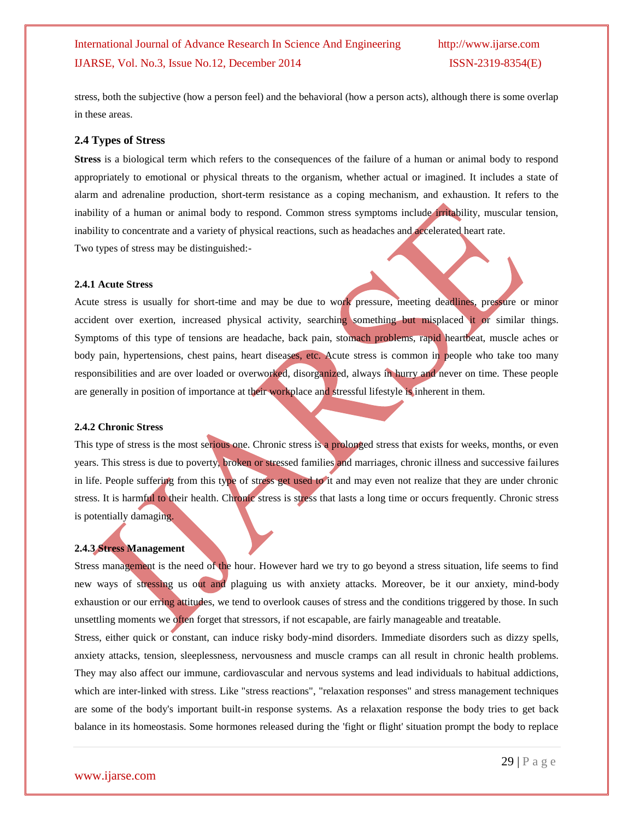stress, both the subjective (how a person feel) and the behavioral (how a person acts), although there is some overlap in these areas.

#### **2.4 Types of Stress**

**Stress** is a biological term which refers to the consequences of the failure of a human or animal body to respond appropriately to emotional or physical threats to the organism, whether actual or imagined. It includes a state of alarm and adrenaline production, short-term resistance as a coping mechanism, and exhaustion. It refers to the inability of a human or animal body to respond. Common stress symptoms include irritability, muscular tension, inability to concentrate and a variety of physical reactions, such as headaches and accelerated heart rate. Two types of stress may be distinguished:-

#### **2.4.1 Acute Stress**

Acute stress is usually for short-time and may be due to work pressure, meeting deadlines, pressure or minor accident over exertion, increased physical activity, searching something but misplaced it or similar things. Symptoms of this type of tensions are headache, back pain, stomach problems, rapid heartbeat, muscle aches or body pain, hypertensions, chest pains, heart diseases, etc. Acute stress is common in people who take too many responsibilities and are over loaded or overworked, disorganized, always in hurry and never on time. These people are generally in position of importance at their workplace and stressful lifestyle is inherent in them.

#### **2.4.2 Chronic Stress**

This type of stress is the most serious one. Chronic stress is a prolonged stress that exists for weeks, months, or even years. This stress is due to poverty, broken or stressed families and marriages, chronic illness and successive failures in life. People suffering from this type of stress get used to it and may even not realize that they are under chronic stress. It is harmful to their health. Chronic stress is stress that lasts a long time or occurs frequently. Chronic stress is potentially damaging.

#### **2.4.3 Stress Management**

Stress management is the need of the hour. However hard we try to go beyond a stress situation, life seems to find new ways of stressing us out and plaguing us with anxiety attacks. Moreover, be it our anxiety, mind-body exhaustion or our erring attitudes, we tend to overlook causes of stress and the conditions triggered by those. In such unsettling moments we often forget that stressors, if not escapable, are fairly manageable and treatable.

Stress, either quick or constant, can induce risky body-mind disorders. Immediate disorders such as dizzy spells, anxiety attacks, tension, sleeplessness, nervousness and muscle cramps can all result in chronic health problems. They may also affect our immune, cardiovascular and nervous systems and lead individuals to habitual addictions, which are inter-linked with stress. Like "stress reactions", "relaxation responses" and stress management techniques are some of the body's important built-in response systems. As a relaxation response the body tries to get back balance in its homeostasis. Some hormones released during the 'fight or flight' situation prompt the body to replace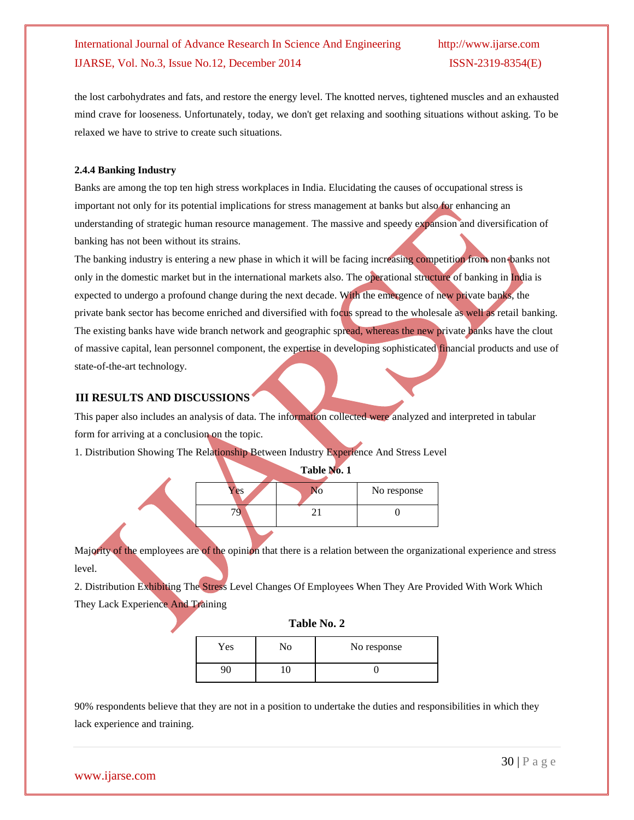the lost carbohydrates and fats, and restore the energy level. The knotted nerves, tightened muscles and an exhausted mind crave for looseness. Unfortunately, today, we don't get relaxing and soothing situations without asking. To be relaxed we have to strive to create such situations.

#### **2.4.4 Banking Industry**

Banks are among the top ten high stress workplaces in India. Elucidating the causes of occupational stress is important not only for its potential implications for stress management at banks but also for enhancing an understanding of strategic human resource management. The massive and speedy expansion and diversification of banking has not been without its strains.

The banking industry is entering a new phase in which it will be facing increasing competition from non-banks not only in the domestic market but in the international markets also. The operational structure of banking in India is expected to undergo a profound change during the next decade. With the emergence of new private banks, the private bank sector has become enriched and diversified with focus spread to the wholesale as well as retail banking. The existing banks have wide branch network and geographic spread, whereas the new private banks have the clout of massive capital, lean personnel component, the expertise in developing sophisticated financial products and use of state-of-the-art technology.

#### **III RESULTS AND DISCUSSIONS**

This paper also includes an analysis of data. The information collected were analyzed and interpreted in tabular form for arriving at a conclusion on the topic.

1. Distribution Showing The Relationship Between Industry Experience And Stress Level

**Table No. 1**

| es) | No response |
|-----|-------------|
|     |             |

Majority of the employees are of the opinion that there is a relation between the organizational experience and stress level.

2. Distribution Exhibiting The Stress Level Changes Of Employees When They Are Provided With Work Which They Lack Experience And Training

**Table No. 2**

| Yes | No response |
|-----|-------------|
|     |             |

90% respondents believe that they are not in a position to undertake the duties and responsibilities in which they lack experience and training.

#### www.ijarse.com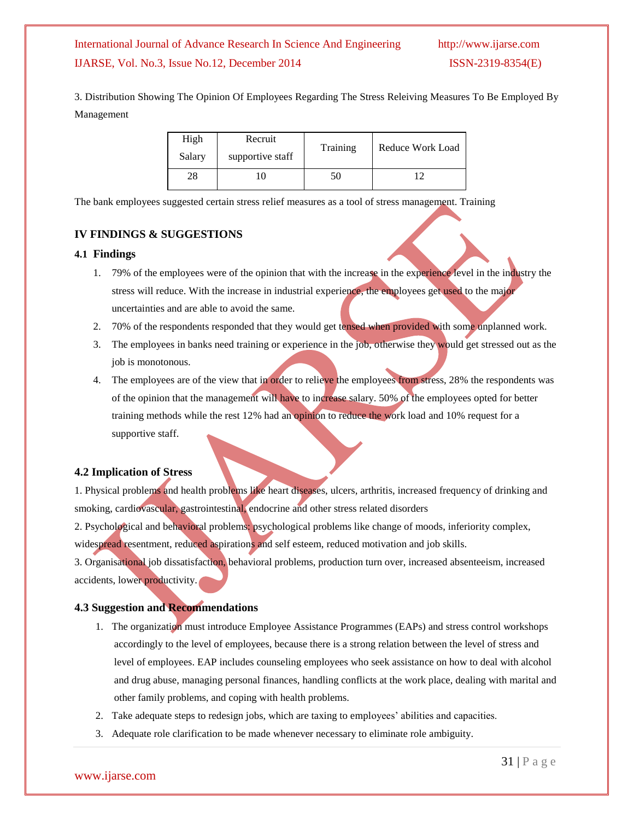3. Distribution Showing The Opinion Of Employees Regarding The Stress Releiving Measures To Be Employed By Management

| High<br>Salary | Recruit<br>supportive staff | Training | Reduce Work Load |
|----------------|-----------------------------|----------|------------------|
| 28             |                             | 50       |                  |

The bank employees suggested certain stress relief measures as a tool of stress management. Training

### **IV FINDINGS & SUGGESTIONS**

#### **4.1 Findings**

- 1. 79% of the employees were of the opinion that with the increase in the experience level in the industry the stress will reduce. With the increase in industrial experience, the employees get used to the major uncertainties and are able to avoid the same.
- 2. 70% of the respondents responded that they would get tensed when provided with some unplanned work.
- 3. The employees in banks need training or experience in the job, otherwise they would get stressed out as the job is monotonous.
- 4. The employees are of the view that in order to relieve the employees from stress, 28% the respondents was of the opinion that the management will have to increase salary. 50% of the employees opted for better training methods while the rest 12% had an opinion to reduce the work load and 10% request for a supportive staff.

#### **4.2 Implication of Stress**

1. Physical problems and health problems like heart diseases, ulcers, arthritis, increased frequency of drinking and smoking, cardiovascular, gastrointestinal, endocrine and other stress related disorders 2. Psychological and behavioral problems: psychological problems like change of moods, inferiority complex, widespread resentment, reduced aspirations and self esteem, reduced motivation and job skills. 3. Organisational job dissatisfaction, behavioral problems, production turn over, increased absenteeism, increased accidents, lower productivity.

#### **4.3 Suggestion and Recommendations**

- 1. The organization must introduce Employee Assistance Programmes (EAPs) and stress control workshops accordingly to the level of employees, because there is a strong relation between the level of stress and level of employees. EAP includes counseling employees who seek assistance on how to deal with alcohol and drug abuse, managing personal finances, handling conflicts at the work place, dealing with marital and other family problems, and coping with health problems.
- 2. Take adequate steps to redesign jobs, which are taxing to employees' abilities and capacities.
- 3. Adequate role clarification to be made whenever necessary to eliminate role ambiguity.